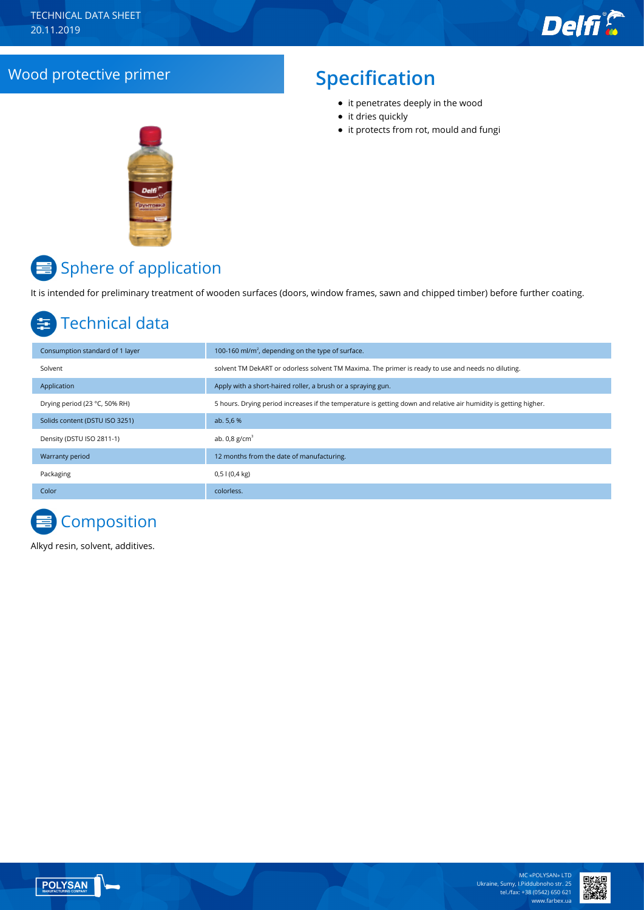## Wood protective primer **Specification**

- it penetrates deeply in the wood
- it dries quickly
- it protects from rot, mould and fungi



## Sphere of application

It is intended for preliminary treatment of wooden surfaces (doors, window frames, sawn and chipped timber) before further coating.

## Technical data

| Consumption standard of 1 layer | 100-160 ml/m <sup>2</sup> , depending on the type of surface.                                                    |
|---------------------------------|------------------------------------------------------------------------------------------------------------------|
| Solvent                         | solvent TM DekART or odorless solvent TM Maxima. The primer is ready to use and needs no diluting.               |
| Application                     | Apply with a short-haired roller, a brush or a spraying gun.                                                     |
| Drying period (23 °C, 50% RH)   | 5 hours. Drying period increases if the temperature is getting down and relative air humidity is getting higher. |
| Solids content (DSTU ISO 3251)  | ab. 5,6 %                                                                                                        |
| Density (DSTU ISO 2811-1)       | ab. $0.8$ g/cm <sup>3</sup>                                                                                      |
| Warranty period                 | 12 months from the date of manufacturing.                                                                        |
| Packaging                       | $0,51(0,4 \text{ kg})$                                                                                           |
| Color                           | colorless.                                                                                                       |

# **Composition**

Alkyd resin, solvent, additives.